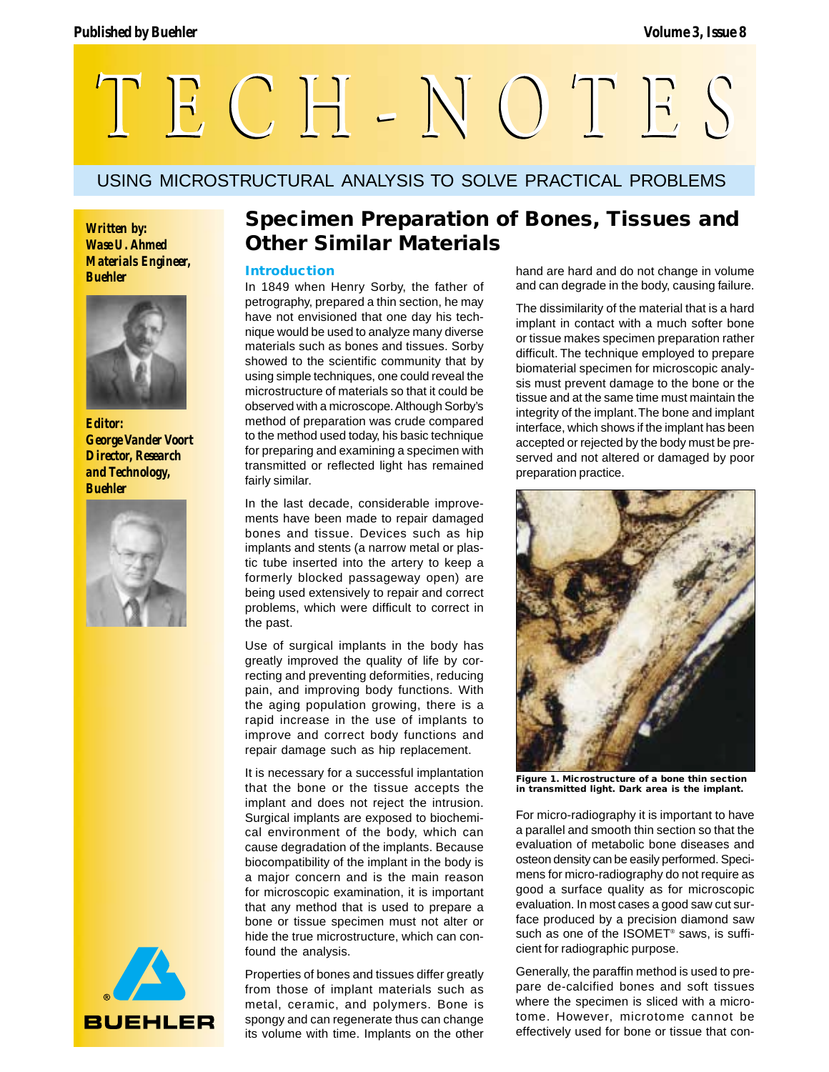

# USING MICROSTRUCTURAL ANALYSIS TO SOLVE PRACTICAL PROBLEMS

*Wase U. Ahmed Materials Engineer, Buehler*



*Editor: George Vander Voort Director, Research and Technology, Buehler*





# **Specimen Preparation of Bones, Tissues and** *Written by:*<br>*Wase U. Ahmed* **Other Similar Materials**

## **Introduction**

In 1849 when Henry Sorby, the father of petrography, prepared a thin section, he may have not envisioned that one day his technique would be used to analyze many diverse materials such as bones and tissues. Sorby showed to the scientific community that by using simple techniques, one could reveal the microstructure of materials so that it could be observed with a microscope. Although Sorby's method of preparation was crude compared to the method used today, his basic technique for preparing and examining a specimen with transmitted or reflected light has remained fairly similar.

In the last decade, considerable improvements have been made to repair damaged bones and tissue. Devices such as hip implants and stents (a narrow metal or plastic tube inserted into the artery to keep a formerly blocked passageway open) are being used extensively to repair and correct problems, which were difficult to correct in the past.

Use of surgical implants in the body has greatly improved the quality of life by correcting and preventing deformities, reducing pain, and improving body functions. With the aging population growing, there is a rapid increase in the use of implants to improve and correct body functions and repair damage such as hip replacement.

It is necessary for a successful implantation that the bone or the tissue accepts the implant and does not reject the intrusion. Surgical implants are exposed to biochemical environment of the body, which can cause degradation of the implants. Because biocompatibility of the implant in the body is a major concern and is the main reason for microscopic examination, it is important that any method that is used to prepare a bone or tissue specimen must not alter or hide the true microstructure, which can confound the analysis.

Properties of bones and tissues differ greatly from those of implant materials such as metal, ceramic, and polymers. Bone is spongy and can regenerate thus can change its volume with time. Implants on the other

hand are hard and do not change in volume and can degrade in the body, causing failure.

The dissimilarity of the material that is a hard implant in contact with a much softer bone or tissue makes specimen preparation rather difficult. The technique employed to prepare biomaterial specimen for microscopic analysis must prevent damage to the bone or the tissue and at the same time must maintain the integrity of the implant. The bone and implant interface, which shows if the implant has been accepted or rejected by the body must be preserved and not altered or damaged by poor preparation practice.



**Figure 1. Microstructure of a bone thin section in transmitted light. Dark area is the implant.**

For micro-radiography it is important to have a parallel and smooth thin section so that the evaluation of metabolic bone diseases and osteon density can be easily performed. Specimens for micro-radiography do not require as good a surface quality as for microscopic evaluation. In most cases a good saw cut surface produced by a precision diamond saw such as one of the ISOMET<sup>®</sup> saws, is sufficient for radiographic purpose.

Generally, the paraffin method is used to prepare de-calcified bones and soft tissues where the specimen is sliced with a microtome. However, microtome cannot be effectively used for bone or tissue that con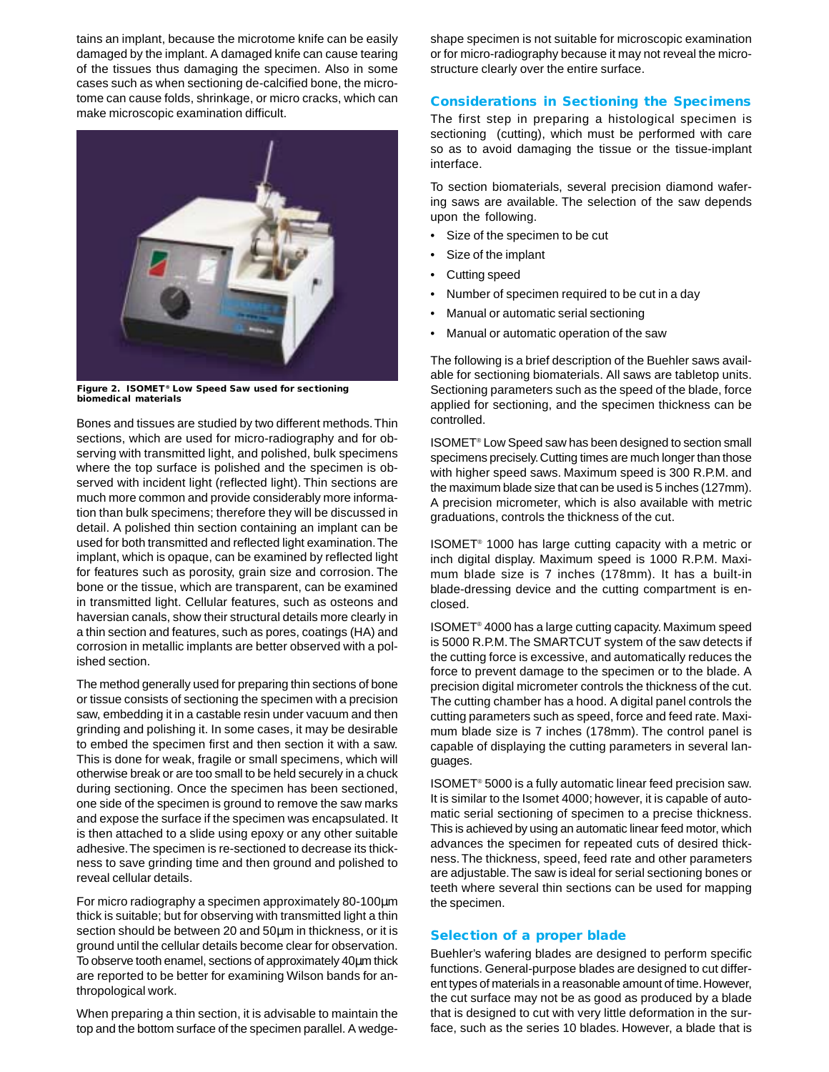tains an implant, because the microtome knife can be easily damaged by the implant. A damaged knife can cause tearing of the tissues thus damaging the specimen. Also in some cases such as when sectioning de-calcified bone, the microtome can cause folds, shrinkage, or micro cracks, which can make microscopic examination difficult.



**Figure 2. ISOMET® Low Speed Saw used for sectioning biomedical materials**

Bones and tissues are studied by two different methods. Thin sections, which are used for micro-radiography and for observing with transmitted light, and polished, bulk specimens where the top surface is polished and the specimen is observed with incident light (reflected light). Thin sections are much more common and provide considerably more information than bulk specimens; therefore they will be discussed in detail. A polished thin section containing an implant can be used for both transmitted and reflected light examination. The implant, which is opaque, can be examined by reflected light for features such as porosity, grain size and corrosion. The bone or the tissue, which are transparent, can be examined in transmitted light. Cellular features, such as osteons and haversian canals, show their structural details more clearly in a thin section and features, such as pores, coatings (HA) and corrosion in metallic implants are better observed with a polished section.

The method generally used for preparing thin sections of bone or tissue consists of sectioning the specimen with a precision saw, embedding it in a castable resin under vacuum and then grinding and polishing it. In some cases, it may be desirable to embed the specimen first and then section it with a saw. This is done for weak, fragile or small specimens, which will otherwise break or are too small to be held securely in a chuck during sectioning. Once the specimen has been sectioned, one side of the specimen is ground to remove the saw marks and expose the surface if the specimen was encapsulated. It is then attached to a slide using epoxy or any other suitable adhesive. The specimen is re-sectioned to decrease its thickness to save grinding time and then ground and polished to reveal cellular details.

For micro radiography a specimen approximately 80-100µm thick is suitable; but for observing with transmitted light a thin section should be between 20 and 50um in thickness, or it is ground until the cellular details become clear for observation. To observe tooth enamel, sections of approximately 40µm thick are reported to be better for examining Wilson bands for anthropological work.

When preparing a thin section, it is advisable to maintain the top and the bottom surface of the specimen parallel. A wedgeshape specimen is not suitable for microscopic examination or for micro-radiography because it may not reveal the microstructure clearly over the entire surface.

# **Considerations in Sectioning the Specimens**

The first step in preparing a histological specimen is sectioning (cutting), which must be performed with care so as to avoid damaging the tissue or the tissue-implant interface.

To section biomaterials, several precision diamond wafering saws are available. The selection of the saw depends upon the following.

- Size of the specimen to be cut
- Size of the implant
- Cutting speed
- Number of specimen required to be cut in a day
- Manual or automatic serial sectioning
- Manual or automatic operation of the saw

The following is a brief description of the Buehler saws available for sectioning biomaterials. All saws are tabletop units. Sectioning parameters such as the speed of the blade, force applied for sectioning, and the specimen thickness can be controlled.

ISOMET® Low Speed saw has been designed to section small specimens precisely. Cutting times are much longer than those with higher speed saws. Maximum speed is 300 R.P.M. and the maximum blade size that can be used is 5 inches (127mm). A precision micrometer, which is also available with metric graduations, controls the thickness of the cut.

ISOMET® 1000 has large cutting capacity with a metric or inch digital display. Maximum speed is 1000 R.P.M. Maximum blade size is 7 inches (178mm). It has a built-in blade-dressing device and the cutting compartment is enclosed.

ISOMET® 4000 has a large cutting capacity. Maximum speed is 5000 R.P.M. The SMARTCUT system of the saw detects if the cutting force is excessive, and automatically reduces the force to prevent damage to the specimen or to the blade. A precision digital micrometer controls the thickness of the cut. The cutting chamber has a hood. A digital panel controls the cutting parameters such as speed, force and feed rate. Maximum blade size is 7 inches (178mm). The control panel is capable of displaying the cutting parameters in several languages.

ISOMET® 5000 is a fully automatic linear feed precision saw. It is similar to the Isomet 4000; however, it is capable of automatic serial sectioning of specimen to a precise thickness. This is achieved by using an automatic linear feed motor, which advances the specimen for repeated cuts of desired thickness. The thickness, speed, feed rate and other parameters are adjustable. The saw is ideal for serial sectioning bones or teeth where several thin sections can be used for mapping the specimen.

## **Selection of a proper blade**

Buehler's wafering blades are designed to perform specific functions. General-purpose blades are designed to cut different types of materials in a reasonable amount of time. However, the cut surface may not be as good as produced by a blade that is designed to cut with very little deformation in the surface, such as the series 10 blades. However, a blade that is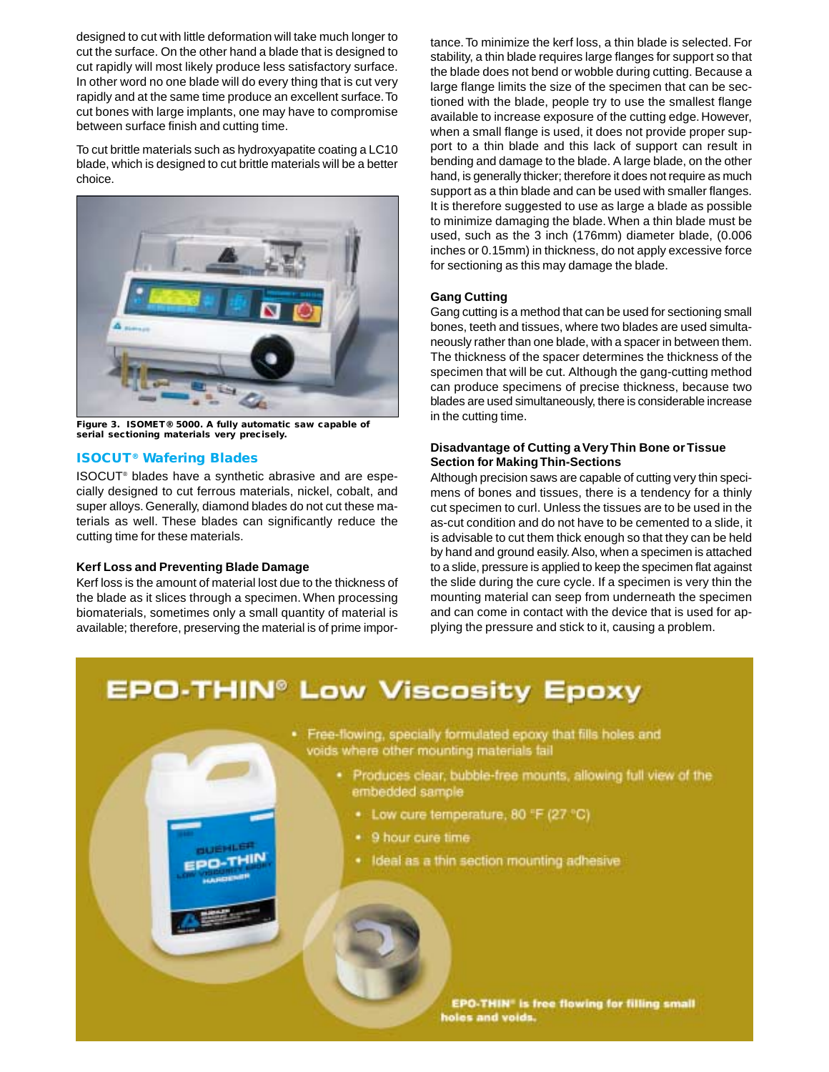designed to cut with little deformation will take much longer to cut the surface. On the other hand a blade that is designed to cut rapidly will most likely produce less satisfactory surface. In other word no one blade will do every thing that is cut very rapidly and at the same time produce an excellent surface. To cut bones with large implants, one may have to compromise between surface finish and cutting time.

To cut brittle materials such as hydroxyapatite coating a LC10 blade, which is designed to cut brittle materials will be a better choice.



**Figure 3. ISOMET® 5000. A fully automatic saw capable of serial sectioning materials very precisely.**

# **ISOCUT® Wafering Blades**

ISOCUT® blades have a synthetic abrasive and are especially designed to cut ferrous materials, nickel, cobalt, and super alloys. Generally, diamond blades do not cut these materials as well. These blades can significantly reduce the cutting time for these materials.

#### **Kerf Loss and Preventing Blade Damage**

Kerf loss is the amount of material lost due to the thickness of the blade as it slices through a specimen. When processing biomaterials, sometimes only a small quantity of material is available; therefore, preserving the material is of prime impor-

tance. To minimize the kerf loss, a thin blade is selected. For stability, a thin blade requires large flanges for support so that the blade does not bend or wobble during cutting. Because a large flange limits the size of the specimen that can be sectioned with the blade, people try to use the smallest flange available to increase exposure of the cutting edge. However, when a small flange is used, it does not provide proper support to a thin blade and this lack of support can result in bending and damage to the blade. A large blade, on the other hand, is generally thicker; therefore it does not require as much support as a thin blade and can be used with smaller flanges. It is therefore suggested to use as large a blade as possible to minimize damaging the blade. When a thin blade must be used, such as the 3 inch (176mm) diameter blade, (0.006 inches or 0.15mm) in thickness, do not apply excessive force for sectioning as this may damage the blade.

## **Gang Cutting**

Gang cutting is a method that can be used for sectioning small bones, teeth and tissues, where two blades are used simultaneously rather than one blade, with a spacer in between them. The thickness of the spacer determines the thickness of the specimen that will be cut. Although the gang-cutting method can produce specimens of precise thickness, because two blades are used simultaneously, there is considerable increase in the cutting time.

## **Disadvantage of Cutting a Very Thin Bone or Tissue Section for Making Thin-Sections**

Although precision saws are capable of cutting very thin specimens of bones and tissues, there is a tendency for a thinly cut specimen to curl. Unless the tissues are to be used in the as-cut condition and do not have to be cemented to a slide, it is advisable to cut them thick enough so that they can be held by hand and ground easily. Also, when a specimen is attached to a slide, pressure is applied to keep the specimen flat against the slide during the cure cycle. If a specimen is very thin the mounting material can seep from underneath the specimen and can come in contact with the device that is used for applying the pressure and stick to it, causing a problem.

# **EPO-THIN<sup>®</sup> Low Viscosity Epoxy**



- · Produces clear, bubble-free mounts, allowing full view of the embedded sample
	- . Low cure temperature, 80 °F (27 °C)
	- . 9 hour cure time
	- . Ideal as a thin section mounting adhesive

EPO-THIN" is free flowing for filling small holes and voids.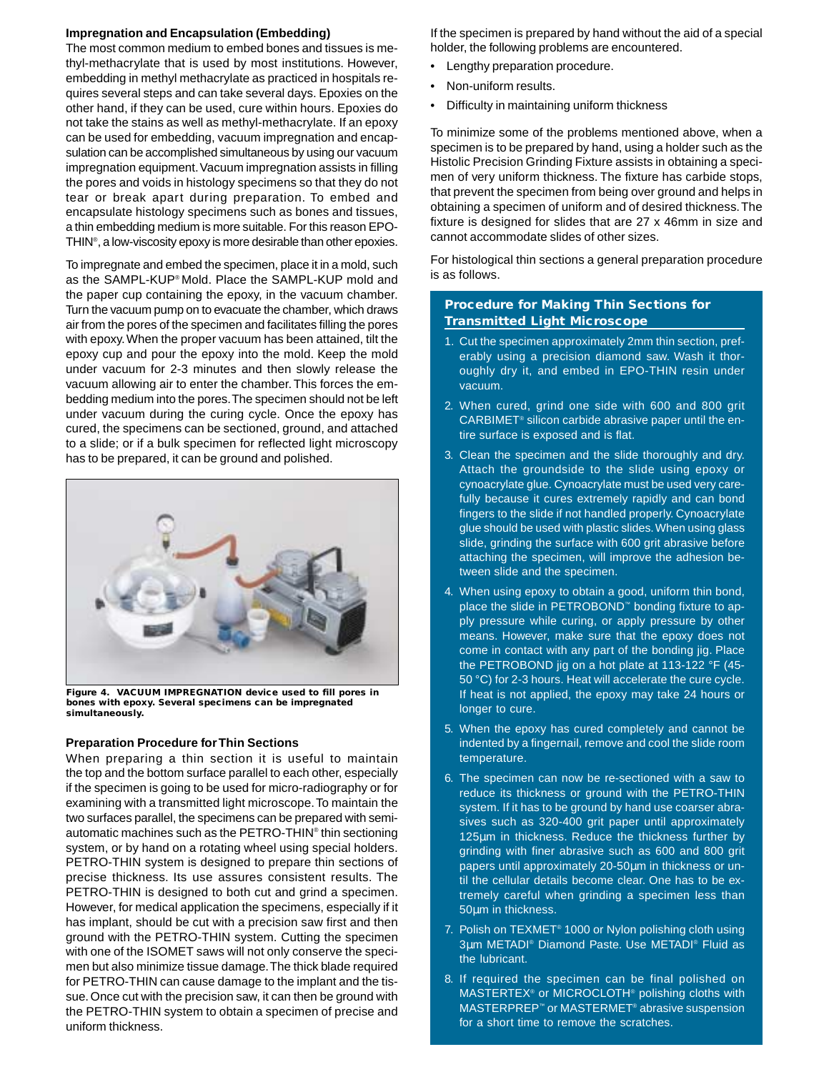#### **Impregnation and Encapsulation (Embedding)**

The most common medium to embed bones and tissues is methyl-methacrylate that is used by most institutions. However, embedding in methyl methacrylate as practiced in hospitals requires several steps and can take several days. Epoxies on the other hand, if they can be used, cure within hours. Epoxies do not take the stains as well as methyl-methacrylate. If an epoxy can be used for embedding, vacuum impregnation and encapsulation can be accomplished simultaneous by using our vacuum impregnation equipment. Vacuum impregnation assists in filling the pores and voids in histology specimens so that they do not tear or break apart during preparation. To embed and encapsulate histology specimens such as bones and tissues, a thin embedding medium is more suitable. For this reason EPO-THIN® , a low-viscosity epoxy is more desirable than other epoxies.

To impregnate and embed the specimen, place it in a mold, such as the SAMPL-KUP® Mold. Place the SAMPL-KUP mold and the paper cup containing the epoxy, in the vacuum chamber. Turn the vacuum pump on to evacuate the chamber, which draws air from the pores of the specimen and facilitates filling the pores with epoxy. When the proper vacuum has been attained, tilt the epoxy cup and pour the epoxy into the mold. Keep the mold under vacuum for 2-3 minutes and then slowly release the vacuum allowing air to enter the chamber. This forces the embedding medium into the pores. The specimen should not be left under vacuum during the curing cycle. Once the epoxy has cured, the specimens can be sectioned, ground, and attached to a slide; or if a bulk specimen for reflected light microscopy has to be prepared, it can be ground and polished.



**Figure 4. VACUUM IMPREGNATION device used to fill pores in bones with epoxy. Several specimens can be impregnated simultaneously.**

#### **Preparation Procedure for Thin Sections**

When preparing a thin section it is useful to maintain the top and the bottom surface parallel to each other, especially if the specimen is going to be used for micro-radiography or for examining with a transmitted light microscope. To maintain the two surfaces parallel, the specimens can be prepared with semiautomatic machines such as the PETRO-THIN® thin sectioning system, or by hand on a rotating wheel using special holders. PETRO-THIN system is designed to prepare thin sections of precise thickness. Its use assures consistent results. The PETRO-THIN is designed to both cut and grind a specimen. However, for medical application the specimens, especially if it has implant, should be cut with a precision saw first and then ground with the PETRO-THIN system. Cutting the specimen with one of the ISOMET saws will not only conserve the specimen but also minimize tissue damage. The thick blade required for PETRO-THIN can cause damage to the implant and the tissue. Once cut with the precision saw, it can then be ground with the PETRO-THIN system to obtain a specimen of precise and uniform thickness.

If the specimen is prepared by hand without the aid of a special holder, the following problems are encountered.

- Lengthy preparation procedure.
- Non-uniform results.
- Difficulty in maintaining uniform thickness

To minimize some of the problems mentioned above, when a specimen is to be prepared by hand, using a holder such as the Histolic Precision Grinding Fixture assists in obtaining a specimen of very uniform thickness. The fixture has carbide stops, that prevent the specimen from being over ground and helps in obtaining a specimen of uniform and of desired thickness. The fixture is designed for slides that are 27 x 46mm in size and cannot accommodate slides of other sizes.

For histological thin sections a general preparation procedure is as follows.

# **Procedure for Making Thin Sections for Transmitted Light Microscope**

- 1. Cut the specimen approximately 2mm thin section, preferably using a precision diamond saw. Wash it thoroughly dry it, and embed in EPO-THIN resin under vacuum.
- 2. When cured, grind one side with 600 and 800 grit CARBIMET® silicon carbide abrasive paper until the entire surface is exposed and is flat.
- 3. Clean the specimen and the slide thoroughly and dry. Attach the groundside to the slide using epoxy or cynoacrylate glue. Cynoacrylate must be used very carefully because it cures extremely rapidly and can bond fingers to the slide if not handled properly. Cynoacrylate glue should be used with plastic slides. When using glass slide, grinding the surface with 600 grit abrasive before attaching the specimen, will improve the adhesion between slide and the specimen.
- 4. When using epoxy to obtain a good, uniform thin bond, place the slide in PETROBOND™ bonding fixture to apply pressure while curing, or apply pressure by other means. However, make sure that the epoxy does not come in contact with any part of the bonding jig. Place the PETROBOND jig on a hot plate at 113-122 °F (45- 50 °C) for 2-3 hours. Heat will accelerate the cure cycle. If heat is not applied, the epoxy may take 24 hours or longer to cure.
- 5. When the epoxy has cured completely and cannot be indented by a fingernail, remove and cool the slide room temperature.
- 6. The specimen can now be re-sectioned with a saw to reduce its thickness or ground with the PETRO-THIN system. If it has to be ground by hand use coarser abrasives such as 320-400 grit paper until approximately 125µm in thickness. Reduce the thickness further by grinding with finer abrasive such as 600 and 800 grit papers until approximately 20-50µm in thickness or until the cellular details become clear. One has to be extremely careful when grinding a specimen less than 50µm in thickness.
- 7. Polish on TEXMET® 1000 or Nylon polishing cloth using 3µm METADI® Diamond Paste. Use METADI® Fluid as the lubricant.
- 8. If required the specimen can be final polished on MASTERTEX® or MICROCLOTH® polishing cloths with MASTERPREP™ or MASTERMET® abrasive suspension for a short time to remove the scratches.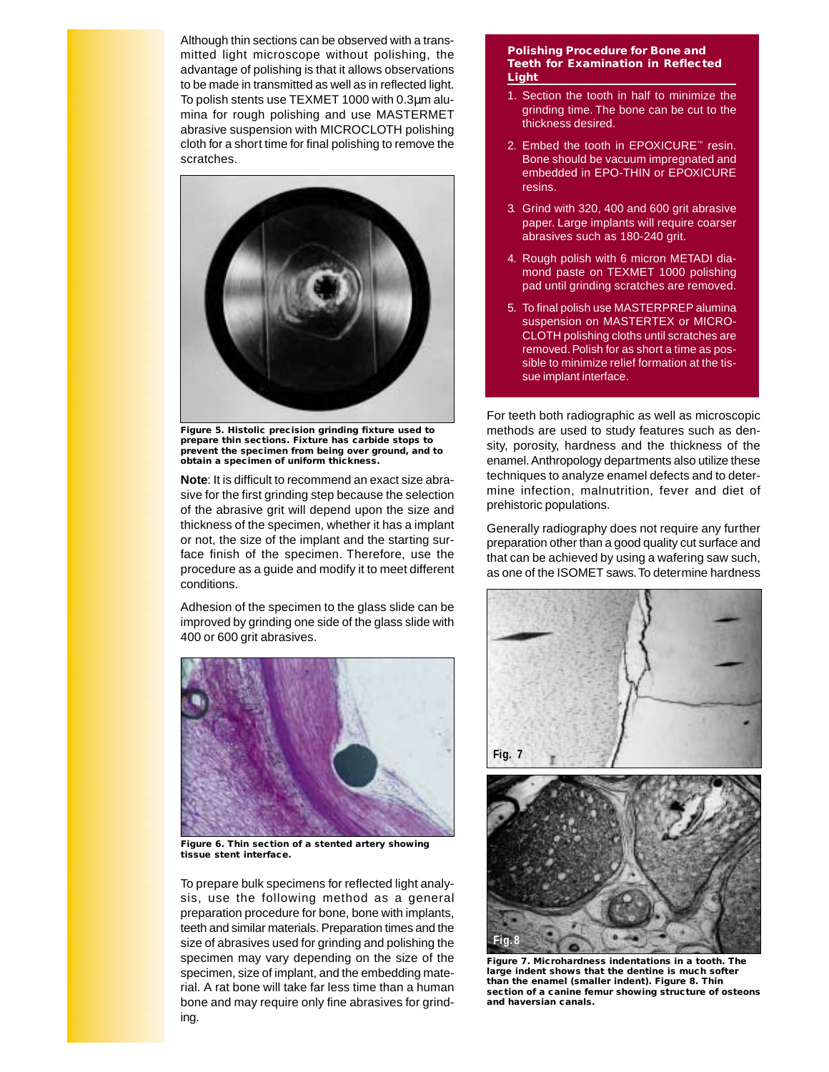Although thin sections can be observed with a transmitted light microscope without polishing, the advantage of polishing is that it allows observations to be made in transmitted as well as in reflected light. To polish stents use TEXMET 1000 with 0.3µm alumina for rough polishing and use MASTERMET abrasive suspension with MICROCLOTH polishing cloth for a short time for final polishing to remove the scratches.



**Figure 5. Histolic precision grinding fixture used to prepare thin sections. Fixture has carbide stops to prevent the specimen from being over ground, and to obtain a specimen of uniform thickness.**

**Note**: It is difficult to recommend an exact size abrasive for the first grinding step because the selection of the abrasive grit will depend upon the size and thickness of the specimen, whether it has a implant or not, the size of the implant and the starting surface finish of the specimen. Therefore, use the procedure as a guide and modify it to meet different conditions.

Adhesion of the specimen to the glass slide can be improved by grinding one side of the glass slide with 400 or 600 grit abrasives.



**Figure 6. Thin section of a stented artery showing tissue stent interface.**

To prepare bulk specimens for reflected light analysis, use the following method as a general preparation procedure for bone, bone with implants, teeth and similar materials. Preparation times and the size of abrasives used for grinding and polishing the specimen may vary depending on the size of the specimen, size of implant, and the embedding material. A rat bone will take far less time than a human bone and may require only fine abrasives for grinding.

#### **Polishing Procedure for Bone and Teeth for Examination in Reflected Light**

- 1. Section the tooth in half to minimize the grinding time. The bone can be cut to the thickness desired.
- 2. Embed the tooth in EPOXICURE™ resin. Bone should be vacuum impregnated and embedded in EPO-THIN or EPOXICURE resins.
- 3. Grind with 320, 400 and 600 grit abrasive paper. Large implants will require coarser abrasives such as 180-240 grit.
- 4. Rough polish with 6 micron METADI diamond paste on TEXMET 1000 polishing pad until grinding scratches are removed.
- 5. To final polish use MASTERPREP alumina suspension on MASTERTEX or MICRO-CLOTH polishing cloths until scratches are removed. Polish for as short a time as possible to minimize relief formation at the tissue implant interface.

For teeth both radiographic as well as microscopic methods are used to study features such as density, porosity, hardness and the thickness of the enamel. Anthropology departments also utilize these techniques to analyze enamel defects and to determine infection, malnutrition, fever and diet of prehistoric populations.

Generally radiography does not require any further preparation other than a good quality cut surface and that can be achieved by using a wafering saw such, as one of the ISOMET saws. To determine hardness



**Figure 7. Microhardness indentations in a tooth. The large indent shows that the dentine is much softer than the enamel (smaller indent). Figure 8. Thin section of a canine femur showing structure of osteons and haversian canals.**